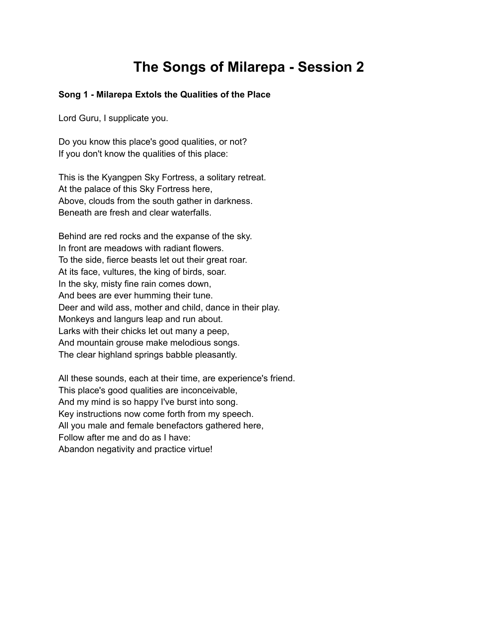# **The Songs of Milarepa - Session 2**

# **Song 1 - Milarepa Extols the Qualities of the Place**

Lord Guru, I supplicate you.

Do you know this place's good qualities, or not? If you don't know the qualities of this place:

This is the Kyangpen Sky Fortress, a solitary retreat. At the palace of this Sky Fortress here, Above, clouds from the south gather in darkness. Beneath are fresh and clear waterfalls.

Behind are red rocks and the expanse of the sky. In front are meadows with radiant flowers. To the side, fierce beasts let out their great roar. At its face, vultures, the king of birds, soar. In the sky, misty fine rain comes down, And bees are ever humming their tune. Deer and wild ass, mother and child, dance in their play. Monkeys and langurs leap and run about. Larks with their chicks let out many a peep, And mountain grouse make melodious songs. The clear highland springs babble pleasantly.

All these sounds, each at their time, are experience's friend. This place's good qualities are inconceivable, And my mind is so happy I've burst into song. Key instructions now come forth from my speech. All you male and female benefactors gathered here, Follow after me and do as I have: Abandon negativity and practice virtue!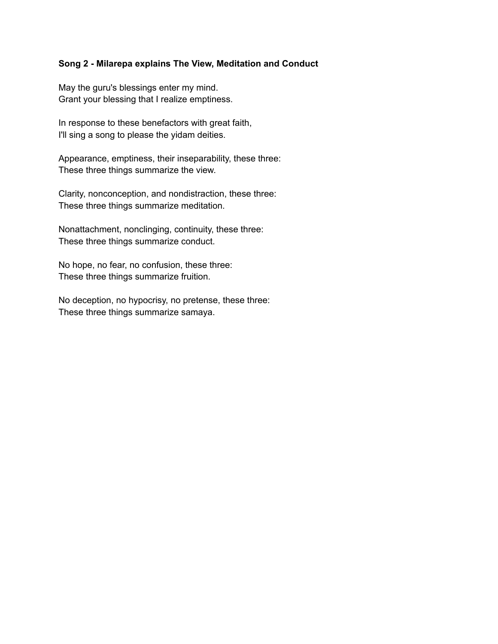## **Song 2 - Milarepa explains The View, Meditation and Conduct**

May the guru's blessings enter my mind. Grant your blessing that I realize emptiness.

In response to these benefactors with great faith, I'll sing a song to please the yidam deities.

Appearance, emptiness, their inseparability, these three: These three things summarize the view.

Clarity, nonconception, and nondistraction, these three: These three things summarize meditation.

Nonattachment, nonclinging, continuity, these three: These three things summarize conduct.

No hope, no fear, no confusion, these three: These three things summarize fruition.

No deception, no hypocrisy, no pretense, these three: These three things summarize samaya.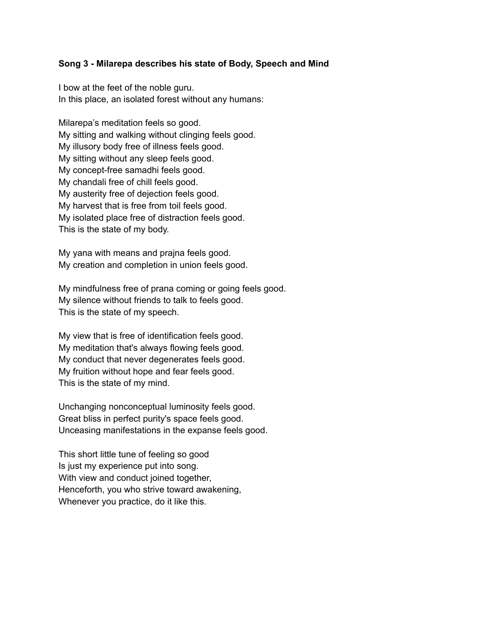### **Song 3 - Milarepa describes his state of Body, Speech and Mind**

I bow at the feet of the noble guru. In this place, an isolated forest without any humans:

Milarepa's meditation feels so good. My sitting and walking without clinging feels good. My illusory body free of illness feels good. My sitting without any sleep feels good. My concept-free samadhi feels good. My chandali free of chill feels good. My austerity free of dejection feels good. My harvest that is free from toil feels good. My isolated place free of distraction feels good. This is the state of my body.

My yana with means and prajna feels good. My creation and completion in union feels good.

My mindfulness free of prana coming or going feels good. My silence without friends to talk to feels good. This is the state of my speech.

My view that is free of identification feels good. My meditation that's always flowing feels good. My conduct that never degenerates feels good. My fruition without hope and fear feels good. This is the state of my mind.

Unchanging nonconceptual luminosity feels good. Great bliss in perfect purity's space feels good. Unceasing manifestations in the expanse feels good.

This short little tune of feeling so good Is just my experience put into song. With view and conduct joined together, Henceforth, you who strive toward awakening, Whenever you practice, do it like this.